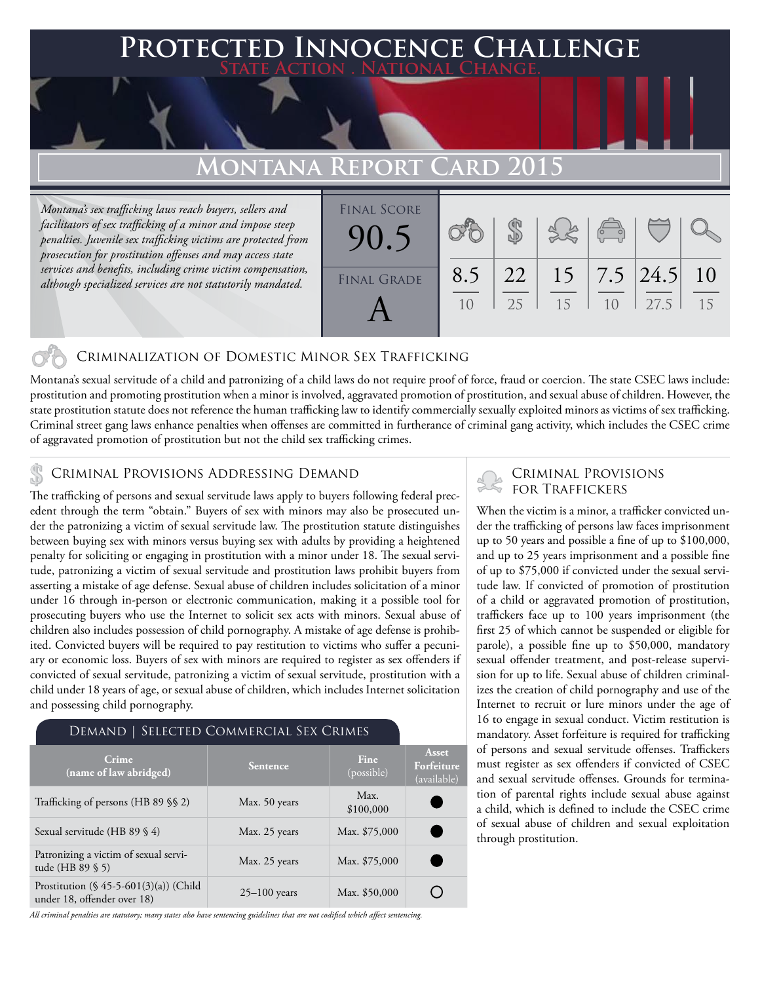### **PED INNOCENCE CHALLENGE State Action . National Change.**

### **Montana Report Card 2015**

*Montana's sex trafficking laws reach buyers, sellers and facilitators of sex trafficking of a minor and impose steep penalties. Juvenile sex trafficking victims are protected from prosecution for prostitution offenses and may access state services and benefits, including crime victim compensation, although specialized services are not statutorily mandated.*

| <b>FINAL SCORE</b><br>90 |     |          |    | $\overline{C}$ |                             |          |
|--------------------------|-----|----------|----|----------------|-----------------------------|----------|
| <b>FINAL GRADE</b>       | 8.5 | 22<br>25 | 15 | 1 <sub>0</sub> | $15$   7.5   24.5  <br>27.5 | 10<br>15 |

#### Criminalization of Domestic Minor Sex Trafficking

Montana's sexual servitude of a child and patronizing of a child laws do not require proof of force, fraud or coercion. The state CSEC laws include: prostitution and promoting prostitution when a minor is involved, aggravated promotion of prostitution, and sexual abuse of children. However, the state prostitution statute does not reference the human trafficking law to identify commercially sexually exploited minors as victims of sex trafficking. Criminal street gang laws enhance penalties when offenses are committed in furtherance of criminal gang activity, which includes the CSEC crime of aggravated promotion of prostitution but not the child sex trafficking crimes.

#### Criminal Provisions Addressing Demand

The trafficking of persons and sexual servitude laws apply to buyers following federal precedent through the term "obtain." Buyers of sex with minors may also be prosecuted under the patronizing a victim of sexual servitude law. The prostitution statute distinguishes between buying sex with minors versus buying sex with adults by providing a heightened penalty for soliciting or engaging in prostitution with a minor under 18. The sexual servitude, patronizing a victim of sexual servitude and prostitution laws prohibit buyers from asserting a mistake of age defense. Sexual abuse of children includes solicitation of a minor under 16 through in-person or electronic communication, making it a possible tool for prosecuting buyers who use the Internet to solicit sex acts with minors. Sexual abuse of children also includes possession of child pornography. A mistake of age defense is prohibited. Convicted buyers will be required to pay restitution to victims who suffer a pecuniary or economic loss. Buyers of sex with minors are required to register as sex offenders if convicted of sexual servitude, patronizing a victim of sexual servitude, prostitution with a child under 18 years of age, or sexual abuse of children, which includes Internet solicitation and possessing child pornography.

#### Demand | Selected Commercial Sex Crimes

| Crime<br>(name of law abridged)                                          | <b>Sentence</b>  | <b>Fine</b><br>(possible) | Asset<br>Forfeiture<br>(available) |
|--------------------------------------------------------------------------|------------------|---------------------------|------------------------------------|
| Trafficking of persons (HB 89 §§ 2)                                      | Max. 50 years    | Max.<br>\$100,000         |                                    |
| Sexual servitude (HB 89 § 4)                                             | Max. 25 years    | Max. \$75,000             |                                    |
| Patronizing a victim of sexual servi-<br>tude (HB 89 § 5)                | Max. 25 years    | Max. \$75,000             |                                    |
| Prostitution $(\S 45-5-601(3)(a))$ (Child<br>under 18, offender over 18) | $25 - 100$ years | Max. \$50,000             |                                    |

*All criminal penalties are statutory; many states also have sentencing guidelines that are not codified which affect sentencing.* 

# Criminal Provisions

When the victim is a minor, a trafficker convicted under the trafficking of persons law faces imprisonment up to 50 years and possible a fine of up to \$100,000, and up to 25 years imprisonment and a possible fine of up to \$75,000 if convicted under the sexual servitude law. If convicted of promotion of prostitution of a child or aggravated promotion of prostitution, traffickers face up to 100 years imprisonment (the first 25 of which cannot be suspended or eligible for parole), a possible fine up to \$50,000, mandatory sexual offender treatment, and post-release supervision for up to life. Sexual abuse of children criminalizes the creation of child pornography and use of the Internet to recruit or lure minors under the age of 16 to engage in sexual conduct. Victim restitution is mandatory. Asset forfeiture is required for trafficking of persons and sexual servitude offenses. Traffickers must register as sex offenders if convicted of CSEC and sexual servitude offenses. Grounds for termination of parental rights include sexual abuse against a child, which is defined to include the CSEC crime of sexual abuse of children and sexual exploitation through prostitution.